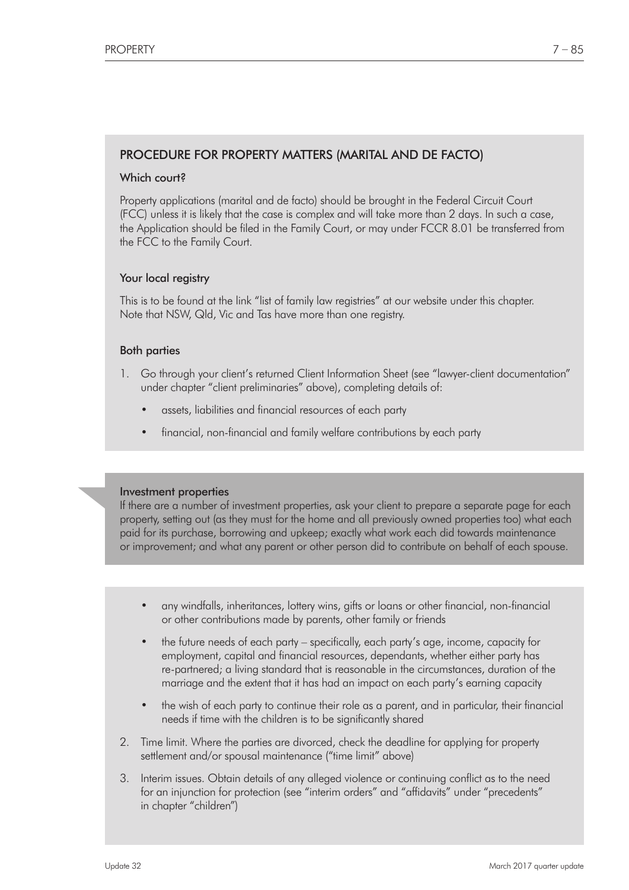# PROCEDURE FOR PROPERTY MATTERS (MARITAL AND DE FACTO)

## Which court?

Property applications (marital and de facto) should be brought in the Federal Circuit Court (FCC) unless it is likely that the case is complex and will take more than 2 days. In such a case, the Application should be filed in the Family Court, or may under FCCR 8.01 be transferred from the FCC to the Family Court.

## Your local registry

This is to be found at the link "list of family law registries" at our website under this chapter. Note that NSW, Qld, Vic and Tas have more than one registry.

## Both parties

- 1. Go through your client's returned Client Information Sheet (see "lawyer-client documentation" under chapter "client preliminaries" above), completing details of:
	- assets, liabilities and financial resources of each party
	- financial, non-financial and family welfare contributions by each party

## Investment properties

If there are a number of investment properties, ask your client to prepare a separate page for each property, setting out (as they must for the home and all previously owned properties too) what each paid for its purchase, borrowing and upkeep; exactly what work each did towards maintenance or improvement; and what any parent or other person did to contribute on behalf of each spouse.

- any windfalls, inheritances, lottery wins, gifts or loans or other financial, non-financial or other contributions made by parents, other family or friends
- the future needs of each party specifically, each party's age, income, capacity for employment, capital and financial resources, dependants, whether either party has re-partnered; a living standard that is reasonable in the circumstances, duration of the marriage and the extent that it has had an impact on each party's earning capacity
- the wish of each party to continue their role as a parent, and in particular, their financial needs if time with the children is to be significantly shared
- 2. Time limit. Where the parties are divorced, check the deadline for applying for property settlement and/or spousal maintenance ("time limit" above)
- 3. Interim issues. Obtain details of any alleged violence or continuing conflict as to the need for an injunction for protection (see "interim orders" and "affidavits" under "precedents" in chapter "children")